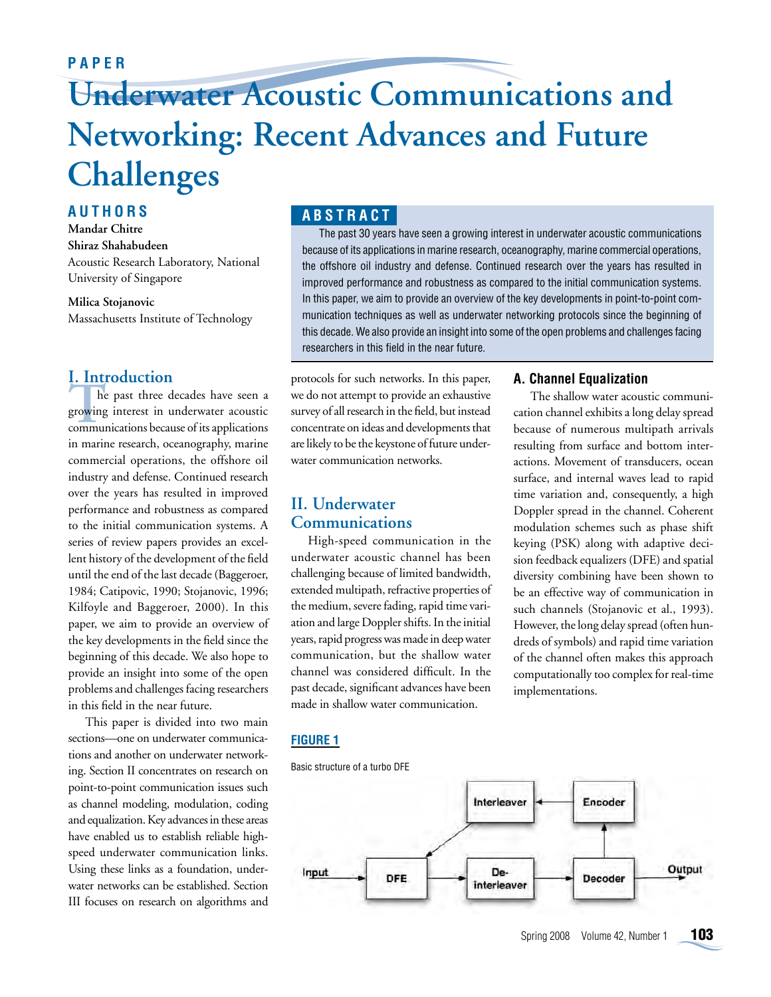### **P A P E R**

# **Underwater Acoustic Communications and Networking: Recent Advances and Future Challenges**

# **AUTHORS**

**Mandar Chitre Shiraz Shahabudeen** Acoustic Research Laboratory, National University of Singapore

**Milica Stojanovic** Massachusetts Institute of Technology

# **I. Introduction**

The past three decades have seen a<br>
growing interest in underwater acoustic<br>
communications because of its applications he past three decades have seen a growing interest in underwater acoustic in marine research, oceanography, marine commercial operations, the offshore oil industry and defense. Continued research over the years has resulted in improved performance and robustness as compared to the initial communication systems. A series of review papers provides an excellent history of the development of the field until the end of the last decade (Baggeroer, 1984; Catipovic, 1990; Stojanovic, 1996; Kilfoyle and Baggeroer, 2000). In this paper, we aim to provide an overview of the key developments in the field since the beginning of this decade. We also hope to provide an insight into some of the open problems and challenges facing researchers in this field in the near future.

This paper is divided into two main sections—one on underwater communications and another on underwater networking. Section II concentrates on research on point-to-point communication issues such as channel modeling, modulation, coding and equalization. Key advances in these areas have enabled us to establish reliable highspeed underwater communication links. Using these links as a foundation, underwater networks can be established. Section III focuses on research on algorithms and

# **ABSTRACT**

The past 30 years have seen a growing interest in underwater acoustic communications because of its applications in marine research, oceanography, marine commercial operations, the offshore oil industry and defense. Continued research over the years has resulted in improved performance and robustness as compared to the initial communication systems. In this paper, we aim to provide an overview of the key developments in point-to-point communication techniques as well as underwater networking protocols since the beginning of this decade. We also provide an insight into some of the open problems and challenges facing researchers in this field in the near future.

protocols for such networks. In this paper, we do not attempt to provide an exhaustive survey of all research in the field, but instead concentrate on ideas and developments that are likely to be the keystone of future underwater communication networks.

# **II. Underwater Communications**

High-speed communication in the underwater acoustic channel has been challenging because of limited bandwidth, extended multipath, refractive properties of the medium, severe fading, rapid time variation and large Doppler shifts. In the initial years, rapid progress was made in deep water communication, but the shallow water channel was considered difficult. In the past decade, significant advances have been made in shallow water communication.

#### **A. Channel Equalization**

The shallow water acoustic communication channel exhibits a long delay spread because of numerous multipath arrivals resulting from surface and bottom interactions. Movement of transducers, ocean surface, and internal waves lead to rapid time variation and, consequently, a high Doppler spread in the channel. Coherent modulation schemes such as phase shift keying (PSK) along with adaptive decision feedback equalizers (DFE) and spatial diversity combining have been shown to be an effective way of communication in such channels (Stojanovic et al., 1993). However, the long delay spread (often hundreds of symbols) and rapid time variation of the channel often makes this approach computationally too complex for real-time implementations.

#### **FIGURE 1**

Basic structure of a turbo DFE

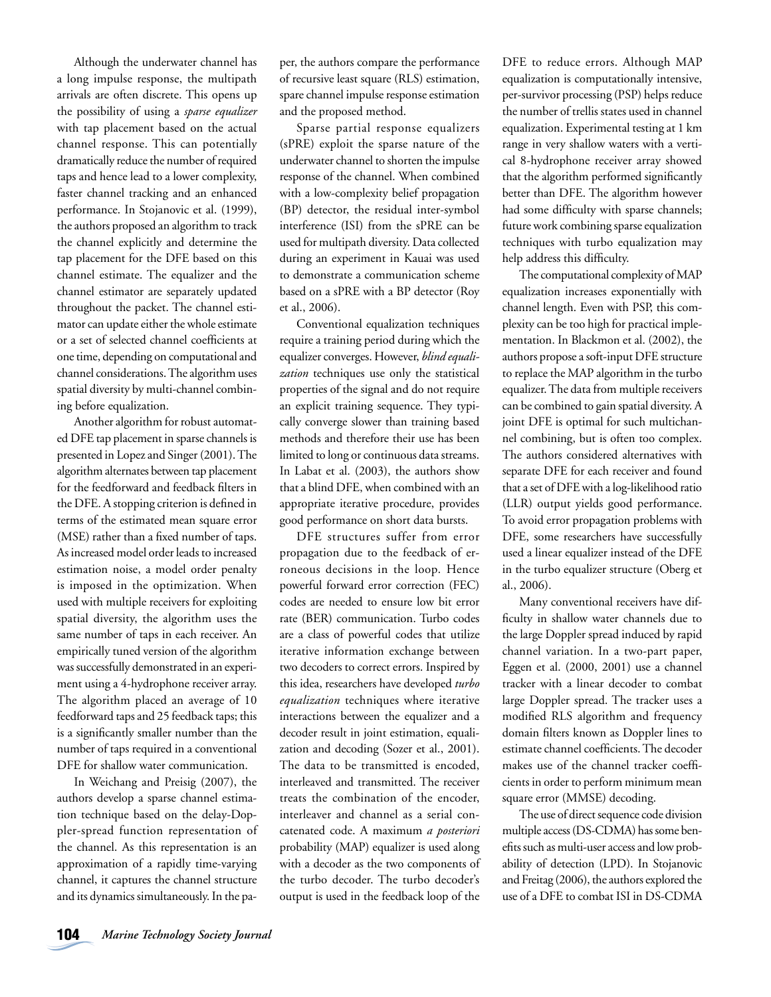Although the underwater channel has a long impulse response, the multipath arrivals are often discrete. This opens up the possibility of using a *sparse equalizer* with tap placement based on the actual channel response. This can potentially dramatically reduce the number of required taps and hence lead to a lower complexity, faster channel tracking and an enhanced performance. In Stojanovic et al. (1999), the authors proposed an algorithm to track the channel explicitly and determine the tap placement for the DFE based on this channel estimate. The equalizer and the channel estimator are separately updated throughout the packet. The channel estimator can update either the whole estimate or a set of selected channel coefficients at one time, depending on computational and channel considerations. The algorithm uses spatial diversity by multi-channel combining before equalization.

Another algorithm for robust automated DFE tap placement in sparse channels is presented in Lopez and Singer (2001). The algorithm alternates between tap placement for the feedforward and feedback filters in the DFE. A stopping criterion is defined in terms of the estimated mean square error (MSE) rather than a fixed number of taps. As increased model order leads to increased estimation noise, a model order penalty is imposed in the optimization. When used with multiple receivers for exploiting spatial diversity, the algorithm uses the same number of taps in each receiver. An empirically tuned version of the algorithm was successfully demonstrated in an experiment using a 4-hydrophone receiver array. The algorithm placed an average of 10 feedforward taps and 25 feedback taps; this is a significantly smaller number than the number of taps required in a conventional DFE for shallow water communication.

In Weichang and Preisig (2007), the authors develop a sparse channel estimation technique based on the delay-Doppler-spread function representation of the channel. As this representation is an approximation of a rapidly time-varying channel, it captures the channel structure and its dynamics simultaneously. In the paper, the authors compare the performance of recursive least square (RLS) estimation, spare channel impulse response estimation and the proposed method.

Sparse partial response equalizers (sPRE) exploit the sparse nature of the underwater channel to shorten the impulse response of the channel. When combined with a low-complexity belief propagation (BP) detector, the residual inter-symbol interference (ISI) from the sPRE can be used for multipath diversity. Data collected during an experiment in Kauai was used to demonstrate a communication scheme based on a sPRE with a BP detector (Roy et al., 2006).

Conventional equalization techniques require a training period during which the equalizer converges. However, *blind equalization* techniques use only the statistical properties of the signal and do not require an explicit training sequence. They typically converge slower than training based methods and therefore their use has been limited to long or continuous data streams. In Labat et al. (2003), the authors show that a blind DFE, when combined with an appropriate iterative procedure, provides good performance on short data bursts.

DFE structures suffer from error propagation due to the feedback of erroneous decisions in the loop. Hence powerful forward error correction (FEC) codes are needed to ensure low bit error rate (BER) communication. Turbo codes are a class of powerful codes that utilize iterative information exchange between two decoders to correct errors. Inspired by this idea, researchers have developed *turbo equalization* techniques where iterative interactions between the equalizer and a decoder result in joint estimation, equalization and decoding (Sozer et al., 2001). The data to be transmitted is encoded, interleaved and transmitted. The receiver treats the combination of the encoder, interleaver and channel as a serial concatenated code. A maximum *a posteriori* probability (MAP) equalizer is used along with a decoder as the two components of the turbo decoder. The turbo decoder's output is used in the feedback loop of the

DFE to reduce errors. Although MAP equalization is computationally intensive, per-survivor processing (PSP) helps reduce the number of trellis states used in channel equalization. Experimental testing at 1 km range in very shallow waters with a vertical 8-hydrophone receiver array showed that the algorithm performed significantly better than DFE. The algorithm however had some difficulty with sparse channels; future work combining sparse equalization techniques with turbo equalization may help address this difficulty.

The computational complexity of MAP equalization increases exponentially with channel length. Even with PSP, this complexity can be too high for practical implementation. In Blackmon et al. (2002), the authors propose a soft-input DFE structure to replace the MAP algorithm in the turbo equalizer. The data from multiple receivers can be combined to gain spatial diversity. A joint DFE is optimal for such multichannel combining, but is often too complex. The authors considered alternatives with separate DFE for each receiver and found that a set of DFE with a log-likelihood ratio (LLR) output yields good performance. To avoid error propagation problems with DFE, some researchers have successfully used a linear equalizer instead of the DFE in the turbo equalizer structure (Oberg et al., 2006).

Many conventional receivers have difficulty in shallow water channels due to the large Doppler spread induced by rapid channel variation. In a two-part paper, Eggen et al. (2000, 2001) use a channel tracker with a linear decoder to combat large Doppler spread. The tracker uses a modified RLS algorithm and frequency domain filters known as Doppler lines to estimate channel coefficients. The decoder makes use of the channel tracker coefficients in order to perform minimum mean square error (MMSE) decoding.

The use of direct sequence code division multiple access (DS-CDMA) has some benefits such as multi-user access and low probability of detection (LPD). In Stojanovic and Freitag (2006), the authors explored the use of a DFE to combat ISI in DS-CDMA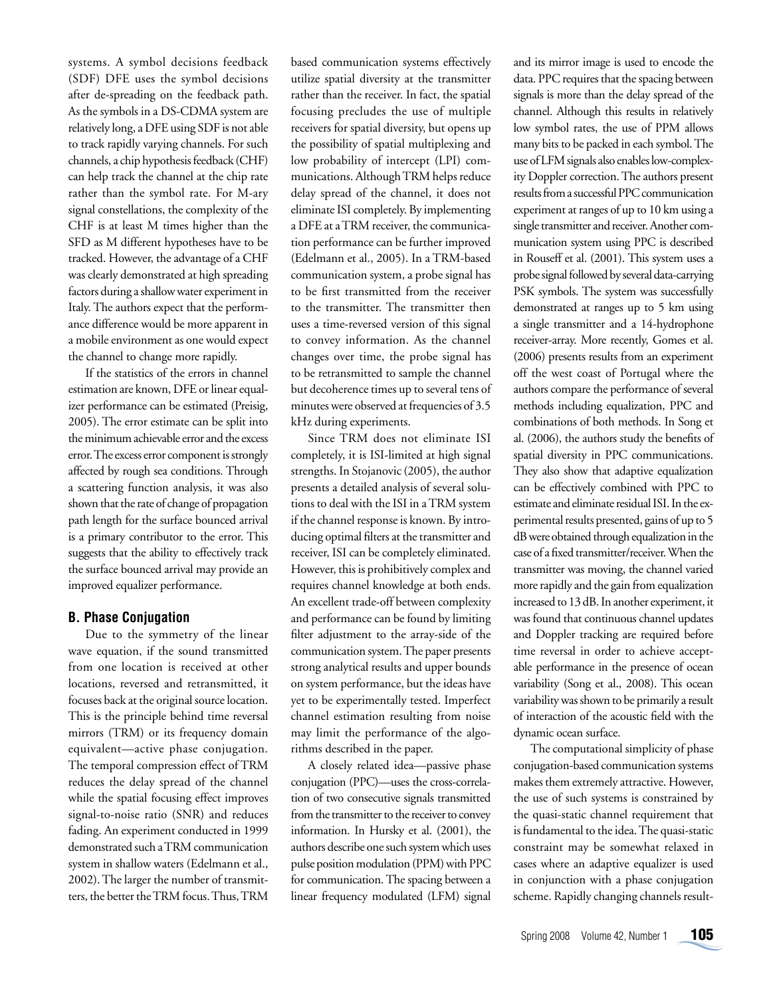systems. A symbol decisions feedback (SDF) DFE uses the symbol decisions after de-spreading on the feedback path. As the symbols in a DS-CDMA system are relatively long, a DFE using SDF is not able to track rapidly varying channels. For such channels, a chip hypothesis feedback (CHF) can help track the channel at the chip rate rather than the symbol rate. For M-ary signal constellations, the complexity of the CHF is at least M times higher than the SFD as M different hypotheses have to be tracked. However, the advantage of a CHF was clearly demonstrated at high spreading factors during a shallow water experiment in Italy. The authors expect that the performance difference would be more apparent in a mobile environment as one would expect the channel to change more rapidly.

If the statistics of the errors in channel estimation are known, DFE or linear equalizer performance can be estimated (Preisig, 2005). The error estimate can be split into the minimum achievable error and the excess error. The excess error component is strongly affected by rough sea conditions. Through a scattering function analysis, it was also shown that the rate of change of propagation path length for the surface bounced arrival is a primary contributor to the error. This suggests that the ability to effectively track the surface bounced arrival may provide an improved equalizer performance.

#### **B. Phase Conjugation**

Due to the symmetry of the linear wave equation, if the sound transmitted from one location is received at other locations, reversed and retransmitted, it focuses back at the original source location. This is the principle behind time reversal mirrors (TRM) or its frequency domain equivalent—active phase conjugation. The temporal compression effect of TRM reduces the delay spread of the channel while the spatial focusing effect improves signal-to-noise ratio (SNR) and reduces fading. An experiment conducted in 1999 demonstrated such a TRM communication system in shallow waters (Edelmann et al., 2002). The larger the number of transmitters, the better the TRM focus. Thus, TRM

based communication systems effectively utilize spatial diversity at the transmitter rather than the receiver. In fact, the spatial focusing precludes the use of multiple receivers for spatial diversity, but opens up the possibility of spatial multiplexing and low probability of intercept (LPI) communications. Although TRM helps reduce delay spread of the channel, it does not eliminate ISI completely. By implementing a DFE at a TRM receiver, the communication performance can be further improved (Edelmann et al., 2005). In a TRM-based communication system, a probe signal has to be first transmitted from the receiver to the transmitter. The transmitter then uses a time-reversed version of this signal to convey information. As the channel changes over time, the probe signal has to be retransmitted to sample the channel but decoherence times up to several tens of minutes were observed at frequencies of 3.5 kHz during experiments.

Since TRM does not eliminate ISI completely, it is ISI-limited at high signal strengths. In Stojanovic (2005), the author presents a detailed analysis of several solutions to deal with the ISI in a TRM system if the channel response is known. By introducing optimal filters at the transmitter and receiver, ISI can be completely eliminated. However, this is prohibitively complex and requires channel knowledge at both ends. An excellent trade-off between complexity and performance can be found by limiting filter adjustment to the array-side of the communication system. The paper presents strong analytical results and upper bounds on system performance, but the ideas have yet to be experimentally tested. Imperfect channel estimation resulting from noise may limit the performance of the algorithms described in the paper.

A closely related idea—passive phase conjugation (PPC)—uses the cross-correlation of two consecutive signals transmitted from the transmitter to the receiver to convey information. In Hursky et al. (2001), the authors describe one such system which uses pulse position modulation (PPM) with PPC for communication. The spacing between a linear frequency modulated (LFM) signal and its mirror image is used to encode the data. PPC requires that the spacing between signals is more than the delay spread of the channel. Although this results in relatively low symbol rates, the use of PPM allows many bits to be packed in each symbol. The use of LFM signals also enables low-complexity Doppler correction. The authors present results from a successful PPC communication experiment at ranges of up to 10 km using a single transmitter and receiver. Another communication system using PPC is described in Rouseff et al. (2001). This system uses a probe signal followed by several data-carrying PSK symbols. The system was successfully demonstrated at ranges up to 5 km using a single transmitter and a 14-hydrophone receiver-array. More recently, Gomes et al. (2006) presents results from an experiment off the west coast of Portugal where the authors compare the performance of several methods including equalization, PPC and combinations of both methods. In Song et al. (2006), the authors study the benefits of spatial diversity in PPC communications. They also show that adaptive equalization can be effectively combined with PPC to estimate and eliminate residual ISI. In the experimental results presented, gains of up to 5 dB were obtained through equalization in the case of a fixed transmitter/receiver. When the transmitter was moving, the channel varied more rapidly and the gain from equalization increased to 13 dB. In another experiment, it was found that continuous channel updates and Doppler tracking are required before time reversal in order to achieve acceptable performance in the presence of ocean variability (Song et al., 2008). This ocean variability was shown to be primarily a result of interaction of the acoustic field with the dynamic ocean surface.

The computational simplicity of phase conjugation-based communication systems makes them extremely attractive. However, the use of such systems is constrained by the quasi-static channel requirement that is fundamental to the idea. The quasi-static constraint may be somewhat relaxed in cases where an adaptive equalizer is used in conjunction with a phase conjugation scheme. Rapidly changing channels result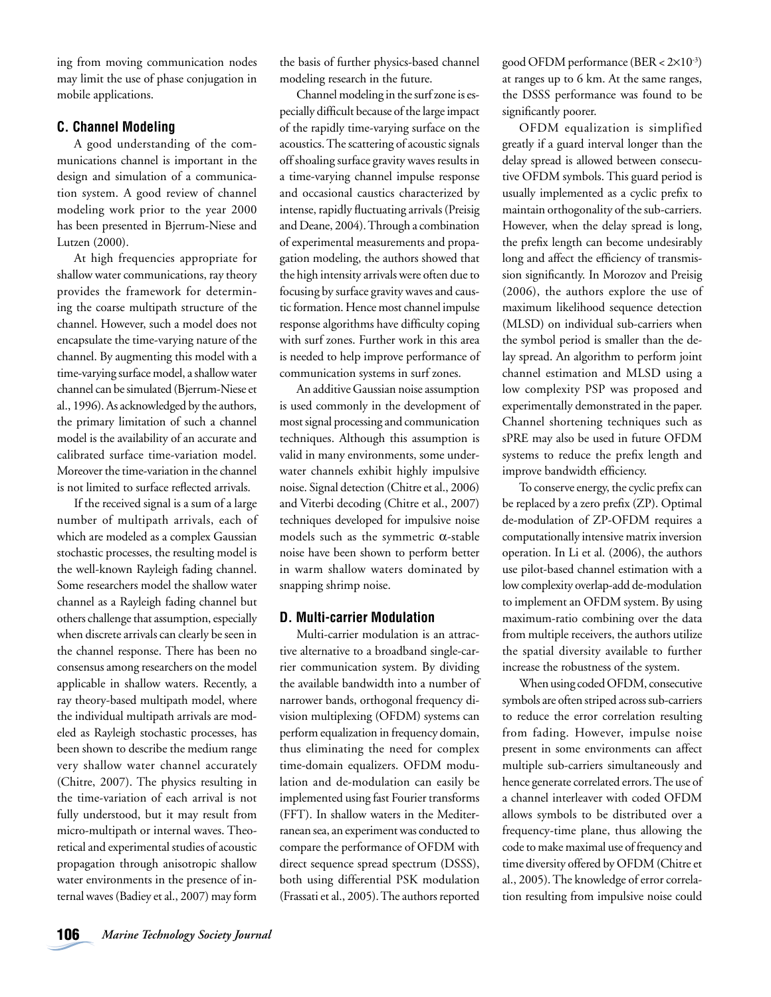ing from moving communication nodes may limit the use of phase conjugation in mobile applications.

#### **C. Channel Modeling**

A good understanding of the communications channel is important in the design and simulation of a communication system. A good review of channel modeling work prior to the year 2000 has been presented in Bjerrum-Niese and Lutzen (2000).

At high frequencies appropriate for shallow water communications, ray theory provides the framework for determining the coarse multipath structure of the channel. However, such a model does not encapsulate the time-varying nature of the channel. By augmenting this model with a time-varying surface model, a shallow water channel can be simulated (Bjerrum-Niese et al., 1996). As acknowledged by the authors, the primary limitation of such a channel model is the availability of an accurate and calibrated surface time-variation model. Moreover the time-variation in the channel is not limited to surface reflected arrivals.

If the received signal is a sum of a large number of multipath arrivals, each of which are modeled as a complex Gaussian stochastic processes, the resulting model is the well-known Rayleigh fading channel. Some researchers model the shallow water channel as a Rayleigh fading channel but others challenge that assumption, especially when discrete arrivals can clearly be seen in the channel response. There has been no consensus among researchers on the model applicable in shallow waters. Recently, a ray theory-based multipath model, where the individual multipath arrivals are modeled as Rayleigh stochastic processes, has been shown to describe the medium range very shallow water channel accurately (Chitre, 2007). The physics resulting in the time-variation of each arrival is not fully understood, but it may result from micro-multipath or internal waves. Theoretical and experimental studies of acoustic propagation through anisotropic shallow water environments in the presence of internal waves (Badiey et al., 2007) may form

the basis of further physics-based channel modeling research in the future.

Channel modeling in the surf zone is especially difficult because of the large impact of the rapidly time-varying surface on the acoustics. The scattering of acoustic signals off shoaling surface gravity waves results in a time-varying channel impulse response and occasional caustics characterized by intense, rapidly fluctuating arrivals (Preisig and Deane, 2004). Through a combination of experimental measurements and propagation modeling, the authors showed that the high intensity arrivals were often due to focusing by surface gravity waves and caustic formation. Hence most channel impulse response algorithms have difficulty coping with surf zones. Further work in this area is needed to help improve performance of communication systems in surf zones.

An additive Gaussian noise assumption is used commonly in the development of most signal processing and communication techniques. Although this assumption is valid in many environments, some underwater channels exhibit highly impulsive noise. Signal detection (Chitre et al., 2006) and Viterbi decoding (Chitre et al., 2007) techniques developed for impulsive noise models such as the symmetric  $\alpha$ -stable noise have been shown to perform better in warm shallow waters dominated by snapping shrimp noise.

## **D. Multi-carrier Modulation**

Multi-carrier modulation is an attractive alternative to a broadband single-carrier communication system. By dividing the available bandwidth into a number of narrower bands, orthogonal frequency division multiplexing (OFDM) systems can perform equalization in frequency domain, thus eliminating the need for complex time-domain equalizers. OFDM modulation and de-modulation can easily be implemented using fast Fourier transforms (FFT). In shallow waters in the Mediterranean sea, an experiment was conducted to compare the performance of OFDM with direct sequence spread spectrum (DSSS), both using differential PSK modulation (Frassati et al., 2005). The authors reported

good OFDM performance (BER < 2s10-3) at ranges up to 6 km. At the same ranges, the DSSS performance was found to be significantly poorer.

OFDM equalization is simplified greatly if a guard interval longer than the delay spread is allowed between consecutive OFDM symbols. This guard period is usually implemented as a cyclic prefix to maintain orthogonality of the sub-carriers. However, when the delay spread is long, the prefix length can become undesirably long and affect the efficiency of transmission significantly. In Morozov and Preisig (2006), the authors explore the use of maximum likelihood sequence detection (MLSD) on individual sub-carriers when the symbol period is smaller than the delay spread. An algorithm to perform joint channel estimation and MLSD using a low complexity PSP was proposed and experimentally demonstrated in the paper. Channel shortening techniques such as sPRE may also be used in future OFDM systems to reduce the prefix length and improve bandwidth efficiency.

To conserve energy, the cyclic prefix can be replaced by a zero prefix (ZP). Optimal de-modulation of ZP-OFDM requires a computationally intensive matrix inversion operation. In Li et al. (2006), the authors use pilot-based channel estimation with a low complexity overlap-add de-modulation to implement an OFDM system. By using maximum-ratio combining over the data from multiple receivers, the authors utilize the spatial diversity available to further increase the robustness of the system.

When using coded OFDM, consecutive symbols are often striped across sub-carriers to reduce the error correlation resulting from fading. However, impulse noise present in some environments can affect multiple sub-carriers simultaneously and hence generate correlated errors. The use of a channel interleaver with coded OFDM allows symbols to be distributed over a frequency-time plane, thus allowing the code to make maximal use of frequency and time diversity offered by OFDM (Chitre et al., 2005). The knowledge of error correlation resulting from impulsive noise could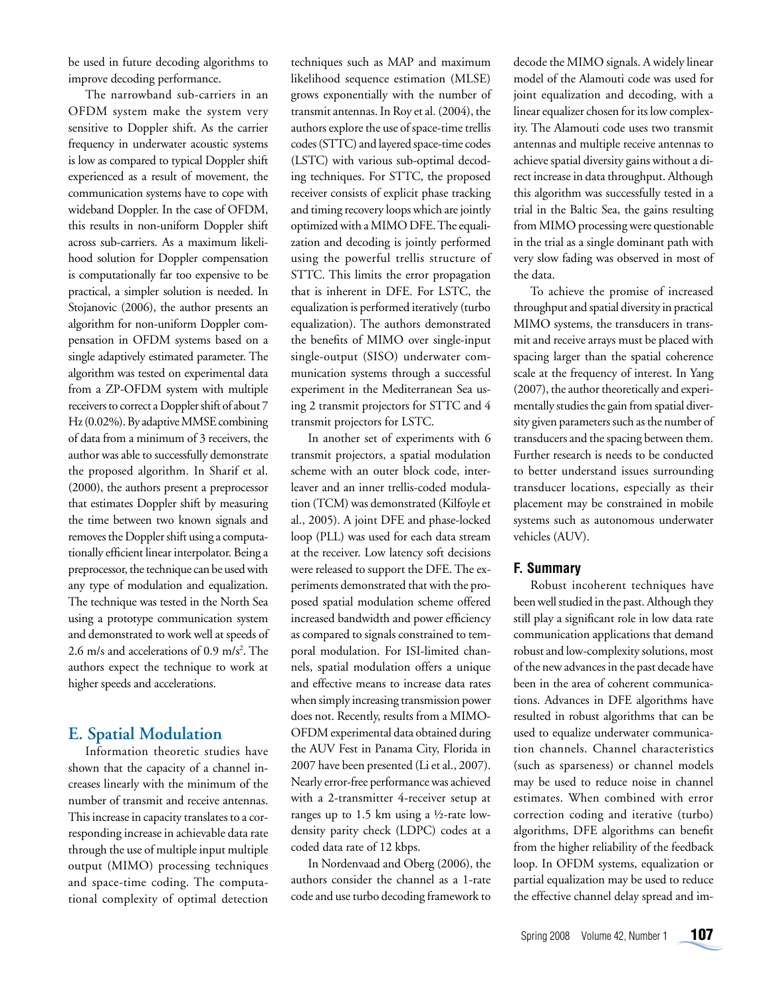be used in future decoding algorithms to improve decoding performance.

The narrowband sub-carriers in an OFDM system make the system very sensitive to Doppler shift. As the carrier frequency in underwater acoustic systems is low as compared to typical Doppler shift experienced as a result of movement, the communication systems have to cope with wideband Doppler. In the case of OFDM, this results in non-uniform Doppler shift across sub-carriers. As a maximum likelihood solution for Doppler compensation is computationally far too expensive to be practical, a simpler solution is needed. In Stojanovic (2006), the author presents an algorithm for non-uniform Doppler compensation in OFDM systems based on a single adaptively estimated parameter. The algorithm was tested on experimental data from a ZP-OFDM system with multiple receivers to correct a Doppler shift of about 7 Hz (0.02%). By adaptive MMSE combining of data from a minimum of 3 receivers, the author was able to successfully demonstrate the proposed algorithm. In Sharif et al. (2000), the authors present a preprocessor that estimates Doppler shift by measuring the time between two known signals and removes the Doppler shift using a computationally efficient linear interpolator. Being a preprocessor, the technique can be used with any type of modulation and equalization. The technique was tested in the North Sea using a prototype communication system and demonstrated to work well at speeds of 2.6 m/s and accelerations of 0.9 m/s<sup>2</sup>. The authors expect the technique to work at higher speeds and accelerations.

# **E. Spatial Modulation**

Information theoretic studies have shown that the capacity of a channel increases linearly with the minimum of the number of transmit and receive antennas. This increase in capacity translates to a corresponding increase in achievable data rate through the use of multiple input multiple output (MIMO) processing techniques and space-time coding. The computational complexity of optimal detection

techniques such as MAP and maximum likelihood sequence estimation (MLSE) grows exponentially with the number of transmit antennas. In Roy et al. (2004), the authors explore the use of space-time trellis codes (STTC) and layered space-time codes (LSTC) with various sub-optimal decoding techniques. For STTC, the proposed receiver consists of explicit phase tracking and timing recovery loops which are jointly optimized with a MIMO DFE. The equalization and decoding is jointly performed using the powerful trellis structure of STTC. This limits the error propagation that is inherent in DFE. For LSTC, the equalization is performed iteratively (turbo equalization). The authors demonstrated the benefits of MIMO over single-input single-output (SISO) underwater communication systems through a successful experiment in the Mediterranean Sea using 2 transmit projectors for STTC and 4 transmit projectors for LSTC.

In another set of experiments with 6 transmit projectors, a spatial modulation scheme with an outer block code, interleaver and an inner trellis-coded modulation (TCM) was demonstrated (Kilfoyle et al., 2005). A joint DFE and phase-locked loop (PLL) was used for each data stream at the receiver. Low latency soft decisions were released to support the DFE. The experiments demonstrated that with the proposed spatial modulation scheme offered increased bandwidth and power efficiency as compared to signals constrained to temporal modulation. For ISI-limited channels, spatial modulation offers a unique and effective means to increase data rates when simply increasing transmission power does not. Recently, results from a MIMO-OFDM experimental data obtained during the AUV Fest in Panama City, Florida in 2007 have been presented (Li et al., 2007). Nearly error-free performance was achieved with a 2-transmitter 4-receiver setup at ranges up to 1.5 km using a ½-rate lowdensity parity check (LDPC) codes at a coded data rate of 12 kbps.

In Nordenvaad and Oberg (2006), the authors consider the channel as a 1-rate code and use turbo decoding framework to

decode the MIMO signals. A widely linear model of the Alamouti code was used for joint equalization and decoding, with a linear equalizer chosen for its low complexity. The Alamouti code uses two transmit antennas and multiple receive antennas to achieve spatial diversity gains without a direct increase in data throughput. Although this algorithm was successfully tested in a trial in the Baltic Sea, the gains resulting from MIMO processing were questionable in the trial as a single dominant path with very slow fading was observed in most of the data.

To achieve the promise of increased throughput and spatial diversity in practical MIMO systems, the transducers in transmit and receive arrays must be placed with spacing larger than the spatial coherence scale at the frequency of interest. In Yang (2007), the author theoretically and experimentally studies the gain from spatial diversity given parameters such as the number of transducers and the spacing between them. Further research is needs to be conducted to better understand issues surrounding transducer locations, especially as their placement may be constrained in mobile systems such as autonomous underwater vehicles (AUV).

#### **F. Summary**

Robust incoherent techniques have been well studied in the past. Although they still play a significant role in low data rate communication applications that demand robust and low-complexity solutions, most of the new advances in the past decade have been in the area of coherent communications. Advances in DFE algorithms have resulted in robust algorithms that can be used to equalize underwater communication channels. Channel characteristics (such as sparseness) or channel models may be used to reduce noise in channel estimates. When combined with error correction coding and iterative (turbo) algorithms, DFE algorithms can benefit from the higher reliability of the feedback loop. In OFDM systems, equalization or partial equalization may be used to reduce the effective channel delay spread and im-

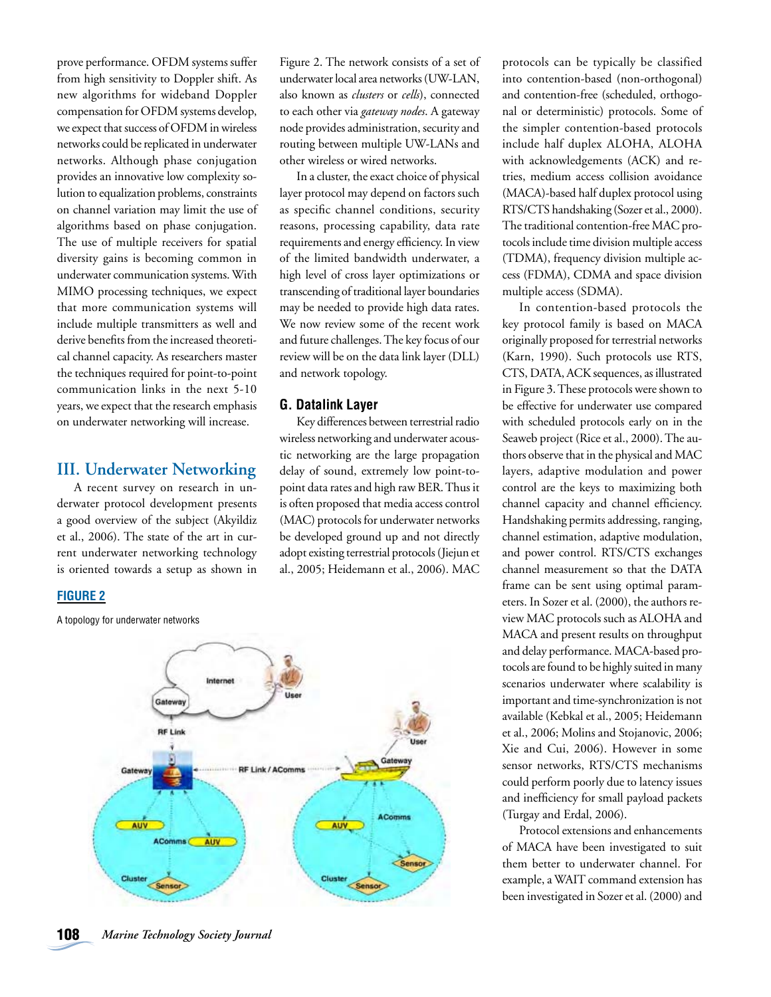prove performance. OFDM systems suffer from high sensitivity to Doppler shift. As new algorithms for wideband Doppler compensation for OFDM systems develop, we expect that success of OFDM in wireless networks could be replicated in underwater networks. Although phase conjugation provides an innovative low complexity solution to equalization problems, constraints on channel variation may limit the use of algorithms based on phase conjugation. The use of multiple receivers for spatial diversity gains is becoming common in underwater communication systems. With MIMO processing techniques, we expect that more communication systems will include multiple transmitters as well and derive benefits from the increased theoretical channel capacity. As researchers master the techniques required for point-to-point communication links in the next 5-10 years, we expect that the research emphasis on underwater networking will increase.

# **III. Underwater Networking**

A recent survey on research in underwater protocol development presents a good overview of the subject (Akyildiz et al., 2006). The state of the art in current underwater networking technology is oriented towards a setup as shown in

#### **FIGURE 2**

A topology for underwater networks

Figure 2. The network consists of a set of underwater local area networks (UW-LAN, also known as *clusters* or *cells*), connected to each other via *gateway nodes*. A gateway node provides administration, security and routing between multiple UW-LANs and other wireless or wired networks.

In a cluster, the exact choice of physical layer protocol may depend on factors such as specific channel conditions, security reasons, processing capability, data rate requirements and energy efficiency. In view of the limited bandwidth underwater, a high level of cross layer optimizations or transcending of traditional layer boundaries may be needed to provide high data rates. We now review some of the recent work and future challenges. The key focus of our review will be on the data link layer (DLL) and network topology.

#### **G. Datalink Layer**

Key differences between terrestrial radio wireless networking and underwater acoustic networking are the large propagation delay of sound, extremely low point-topoint data rates and high raw BER. Thus it is often proposed that media access control (MAC) protocols for underwater networks be developed ground up and not directly adopt existing terrestrial protocols (Jiejun et al., 2005; Heidemann et al., 2006). MAC



protocols can be typically be classified into contention-based (non-orthogonal) and contention-free (scheduled, orthogonal or deterministic) protocols. Some of the simpler contention-based protocols include half duplex ALOHA, ALOHA with acknowledgements (ACK) and retries, medium access collision avoidance (MACA)-based half duplex protocol using RTS/CTS handshaking (Sozer et al., 2000). The traditional contention-free MAC protocols include time division multiple access (TDMA), frequency division multiple access (FDMA), CDMA and space division multiple access (SDMA).

In contention-based protocols the key protocol family is based on MACA originally proposed for terrestrial networks (Karn, 1990). Such protocols use RTS, CTS, DATA, ACK sequences, as illustrated in Figure 3. These protocols were shown to be effective for underwater use compared with scheduled protocols early on in the Seaweb project (Rice et al., 2000). The authors observe that in the physical and MAC layers, adaptive modulation and power control are the keys to maximizing both channel capacity and channel efficiency. Handshaking permits addressing, ranging, channel estimation, adaptive modulation, and power control. RTS/CTS exchanges channel measurement so that the DATA frame can be sent using optimal parameters. In Sozer et al. (2000), the authors review MAC protocols such as ALOHA and MACA and present results on throughput and delay performance. MACA-based protocols are found to be highly suited in many scenarios underwater where scalability is important and time-synchronization is not available (Kebkal et al., 2005; Heidemann et al., 2006; Molins and Stojanovic, 2006; Xie and Cui, 2006). However in some sensor networks, RTS/CTS mechanisms could perform poorly due to latency issues and inefficiency for small payload packets (Turgay and Erdal, 2006).

Protocol extensions and enhancements of MACA have been investigated to suit them better to underwater channel. For example, a WAIT command extension has been investigated in Sozer et al. (2000) and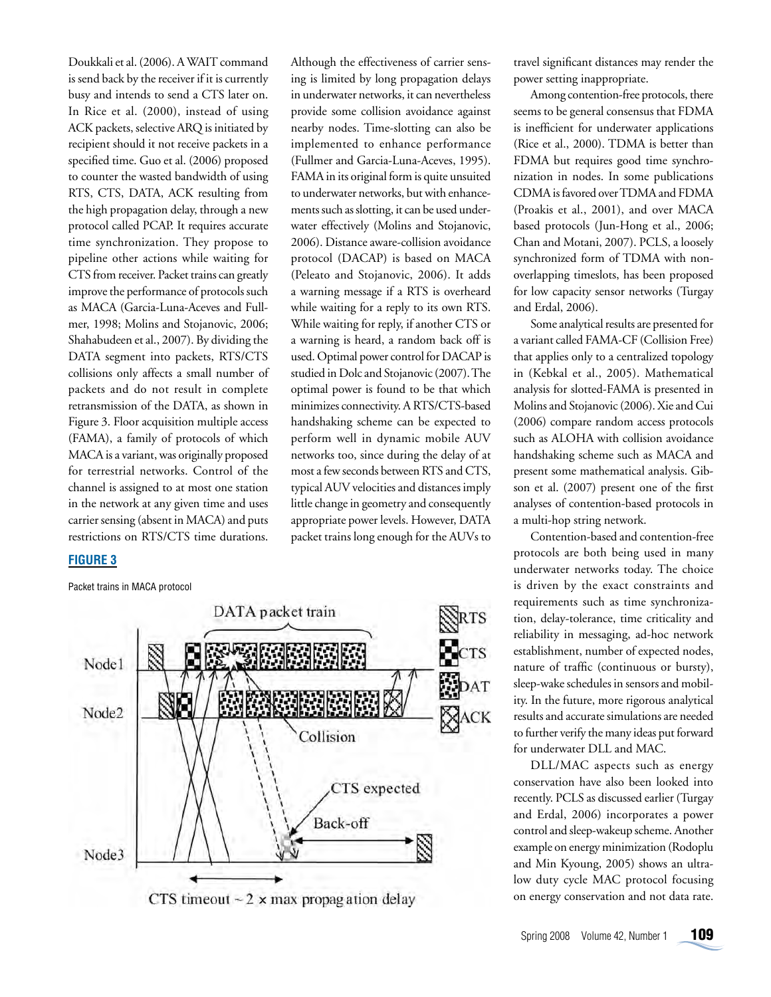Doukkali et al. (2006). A WAIT command is send back by the receiver if it is currently busy and intends to send a CTS later on. In Rice et al. (2000), instead of using ACK packets, selective ARQ is initiated by recipient should it not receive packets in a specified time. Guo et al. (2006) proposed to counter the wasted bandwidth of using RTS, CTS, DATA, ACK resulting from the high propagation delay, through a new protocol called PCAP. It requires accurate time synchronization. They propose to pipeline other actions while waiting for CTS from receiver. Packet trains can greatly improve the performance of protocols such as MACA (Garcia-Luna-Aceves and Fullmer, 1998; Molins and Stojanovic, 2006; Shahabudeen et al., 2007). By dividing the DATA segment into packets, RTS/CTS collisions only affects a small number of packets and do not result in complete retransmission of the DATA, as shown in Figure 3. Floor acquisition multiple access (FAMA), a family of protocols of which MACA is a variant, was originally proposed for terrestrial networks. Control of the channel is assigned to at most one station in the network at any given time and uses carrier sensing (absent in MACA) and puts restrictions on RTS/CTS time durations.

Although the effectiveness of carrier sensing is limited by long propagation delays in underwater networks, it can nevertheless provide some collision avoidance against nearby nodes. Time-slotting can also be implemented to enhance performance (Fullmer and Garcia-Luna-Aceves, 1995). FAMA in its original form is quite unsuited to underwater networks, but with enhancements such as slotting, it can be used underwater effectively (Molins and Stojanovic, 2006). Distance aware-collision avoidance protocol (DACAP) is based on MACA (Peleato and Stojanovic, 2006). It adds a warning message if a RTS is overheard while waiting for a reply to its own RTS. While waiting for reply, if another CTS or a warning is heard, a random back off is used. Optimal power control for DACAP is studied in Dolc and Stojanovic (2007). The optimal power is found to be that which minimizes connectivity. A RTS/CTS-based handshaking scheme can be expected to perform well in dynamic mobile AUV networks too, since during the delay of at most a few seconds between RTS and CTS, typical AUV velocities and distances imply little change in geometry and consequently appropriate power levels. However, DATA packet trains long enough for the AUVs to

#### **FIGURE 3**

Packet trains in MACA protocol



travel significant distances may render the power setting inappropriate.

Among contention-free protocols, there seems to be general consensus that FDMA is inefficient for underwater applications (Rice et al., 2000). TDMA is better than FDMA but requires good time synchronization in nodes. In some publications CDMA is favored over TDMA and FDMA (Proakis et al., 2001), and over MACA based protocols (Jun-Hong et al., 2006; Chan and Motani, 2007). PCLS, a loosely synchronized form of TDMA with nonoverlapping timeslots, has been proposed for low capacity sensor networks (Turgay and Erdal, 2006).

Some analytical results are presented for a variant called FAMA-CF (Collision Free) that applies only to a centralized topology in (Kebkal et al., 2005). Mathematical analysis for slotted-FAMA is presented in Molins and Stojanovic (2006). Xie and Cui (2006) compare random access protocols such as ALOHA with collision avoidance handshaking scheme such as MACA and present some mathematical analysis. Gibson et al. (2007) present one of the first analyses of contention-based protocols in a multi-hop string network.

Contention-based and contention-free protocols are both being used in many underwater networks today. The choice is driven by the exact constraints and requirements such as time synchronization, delay-tolerance, time criticality and reliability in messaging, ad-hoc network establishment, number of expected nodes, nature of traffic (continuous or bursty), sleep-wake schedules in sensors and mobility. In the future, more rigorous analytical results and accurate simulations are needed to further verify the many ideas put forward for underwater DLL and MAC.

DLL/MAC aspects such as energy conservation have also been looked into recently. PCLS as discussed earlier (Turgay and Erdal, 2006) incorporates a power control and sleep-wakeup scheme. Another example on energy minimization (Rodoplu and Min Kyoung, 2005) shows an ultralow duty cycle MAC protocol focusing on energy conservation and not data rate.

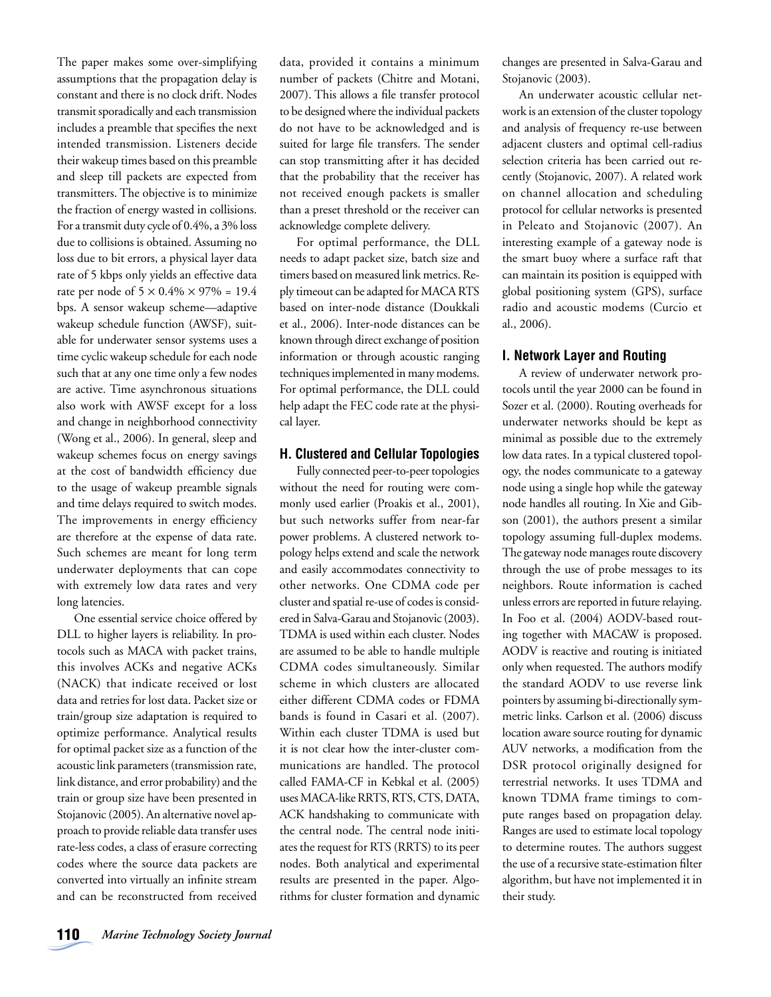The paper makes some over-simplifying assumptions that the propagation delay is constant and there is no clock drift. Nodes transmit sporadically and each transmission includes a preamble that specifies the next intended transmission. Listeners decide their wakeup times based on this preamble and sleep till packets are expected from transmitters. The objective is to minimize the fraction of energy wasted in collisions. For a transmit duty cycle of 0.4%, a 3% loss due to collisions is obtained. Assuming no loss due to bit errors, a physical layer data rate of 5 kbps only yields an effective data rate per node of  $5 \times 0.4\% \times 97\% = 19.4$ bps. A sensor wakeup scheme—adaptive wakeup schedule function (AWSF), suitable for underwater sensor systems uses a time cyclic wakeup schedule for each node such that at any one time only a few nodes are active. Time asynchronous situations also work with AWSF except for a loss and change in neighborhood connectivity (Wong et al., 2006). In general, sleep and wakeup schemes focus on energy savings at the cost of bandwidth efficiency due to the usage of wakeup preamble signals and time delays required to switch modes. The improvements in energy efficiency are therefore at the expense of data rate. Such schemes are meant for long term underwater deployments that can cope with extremely low data rates and very long latencies.

One essential service choice offered by DLL to higher layers is reliability. In protocols such as MACA with packet trains, this involves ACKs and negative ACKs (NACK) that indicate received or lost data and retries for lost data. Packet size or train/group size adaptation is required to optimize performance. Analytical results for optimal packet size as a function of the acoustic link parameters (transmission rate, link distance, and error probability) and the train or group size have been presented in Stojanovic (2005). An alternative novel approach to provide reliable data transfer uses rate-less codes, a class of erasure correcting codes where the source data packets are converted into virtually an infinite stream and can be reconstructed from received data, provided it contains a minimum number of packets (Chitre and Motani, 2007). This allows a file transfer protocol to be designed where the individual packets do not have to be acknowledged and is suited for large file transfers. The sender can stop transmitting after it has decided that the probability that the receiver has not received enough packets is smaller than a preset threshold or the receiver can acknowledge complete delivery.

For optimal performance, the DLL needs to adapt packet size, batch size and timers based on measured link metrics. Reply timeout can be adapted for MACA RTS based on inter-node distance (Doukkali et al., 2006). Inter-node distances can be known through direct exchange of position information or through acoustic ranging techniques implemented in many modems. For optimal performance, the DLL could help adapt the FEC code rate at the physical layer.

#### **H. Clustered and Cellular Topologies**

Fully connected peer-to-peer topologies without the need for routing were commonly used earlier (Proakis et al., 2001), but such networks suffer from near-far power problems. A clustered network topology helps extend and scale the network and easily accommodates connectivity to other networks. One CDMA code per cluster and spatial re-use of codes is considered in Salva-Garau and Stojanovic (2003). TDMA is used within each cluster. Nodes are assumed to be able to handle multiple CDMA codes simultaneously. Similar scheme in which clusters are allocated either different CDMA codes or FDMA bands is found in Casari et al. (2007). Within each cluster TDMA is used but it is not clear how the inter-cluster communications are handled. The protocol called FAMA-CF in Kebkal et al. (2005) uses MACA-like RRTS, RTS, CTS, DATA, ACK handshaking to communicate with the central node. The central node initiates the request for RTS (RRTS) to its peer nodes. Both analytical and experimental results are presented in the paper. Algorithms for cluster formation and dynamic

changes are presented in Salva-Garau and Stojanovic (2003).

An underwater acoustic cellular network is an extension of the cluster topology and analysis of frequency re-use between adjacent clusters and optimal cell-radius selection criteria has been carried out recently (Stojanovic, 2007). A related work on channel allocation and scheduling protocol for cellular networks is presented in Peleato and Stojanovic (2007). An interesting example of a gateway node is the smart buoy where a surface raft that can maintain its position is equipped with global positioning system (GPS), surface radio and acoustic modems (Curcio et al., 2006).

#### **I. Network Layer and Routing**

A review of underwater network protocols until the year 2000 can be found in Sozer et al. (2000). Routing overheads for underwater networks should be kept as minimal as possible due to the extremely low data rates. In a typical clustered topology, the nodes communicate to a gateway node using a single hop while the gateway node handles all routing. In Xie and Gibson (2001), the authors present a similar topology assuming full-duplex modems. The gateway node manages route discovery through the use of probe messages to its neighbors. Route information is cached unless errors are reported in future relaying. In Foo et al. (2004) AODV-based routing together with MACAW is proposed. AODV is reactive and routing is initiated only when requested. The authors modify the standard AODV to use reverse link pointers by assuming bi-directionally symmetric links. Carlson et al. (2006) discuss location aware source routing for dynamic AUV networks, a modification from the DSR protocol originally designed for terrestrial networks. It uses TDMA and known TDMA frame timings to compute ranges based on propagation delay. Ranges are used to estimate local topology to determine routes. The authors suggest the use of a recursive state-estimation filter algorithm, but have not implemented it in their study.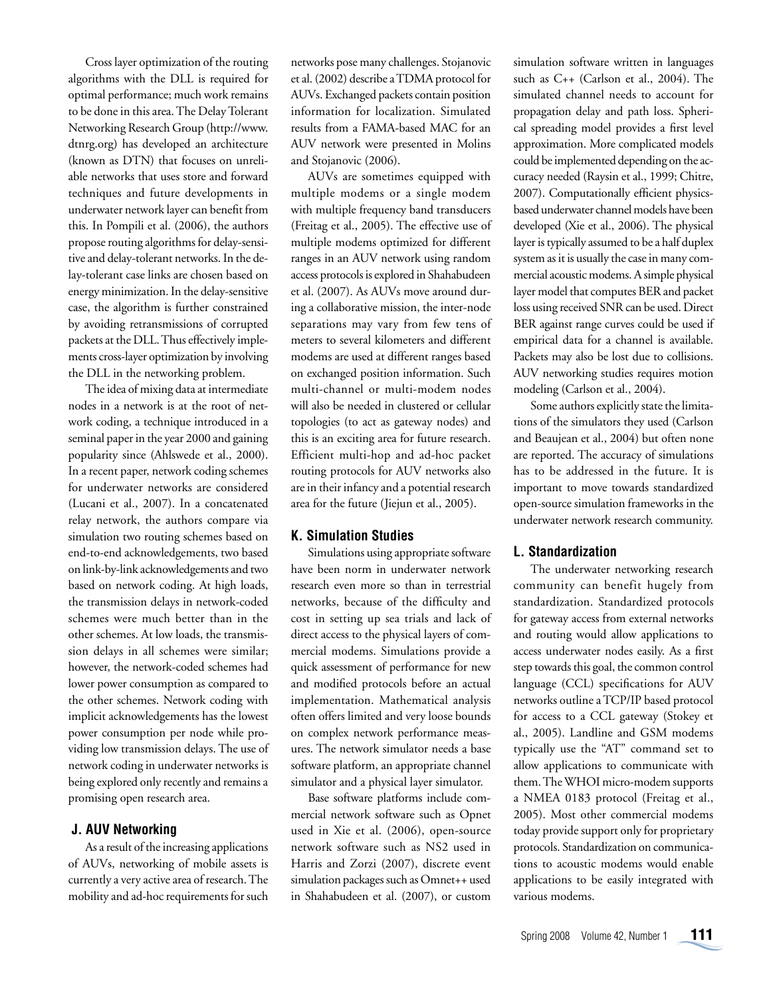Cross layer optimization of the routing algorithms with the DLL is required for optimal performance; much work remains to be done in this area. The Delay Tolerant Networking Research Group (http://www. dtnrg.org) has developed an architecture (known as DTN) that focuses on unreliable networks that uses store and forward techniques and future developments in underwater network layer can benefit from this. In Pompili et al. (2006), the authors propose routing algorithms for delay-sensitive and delay-tolerant networks. In the delay-tolerant case links are chosen based on energy minimization. In the delay-sensitive case, the algorithm is further constrained by avoiding retransmissions of corrupted packets at the DLL. Thus effectively implements cross-layer optimization by involving the DLL in the networking problem.

The idea of mixing data at intermediate nodes in a network is at the root of network coding, a technique introduced in a seminal paper in the year 2000 and gaining popularity since (Ahlswede et al., 2000). In a recent paper, network coding schemes for underwater networks are considered (Lucani et al., 2007). In a concatenated relay network, the authors compare via simulation two routing schemes based on end-to-end acknowledgements, two based on link-by-link acknowledgements and two based on network coding. At high loads, the transmission delays in network-coded schemes were much better than in the other schemes. At low loads, the transmission delays in all schemes were similar; however, the network-coded schemes had lower power consumption as compared to the other schemes. Network coding with implicit acknowledgements has the lowest power consumption per node while providing low transmission delays. The use of network coding in underwater networks is being explored only recently and remains a promising open research area.

#### **J. AUV Networking**

As a result of the increasing applications of AUVs, networking of mobile assets is currently a very active area of research. The mobility and ad-hoc requirements for such

networks pose many challenges. Stojanovic et al. (2002) describe a TDMA protocol for AUVs. Exchanged packets contain position information for localization. Simulated results from a FAMA-based MAC for an AUV network were presented in Molins and Stojanovic (2006).

AUVs are sometimes equipped with multiple modems or a single modem with multiple frequency band transducers (Freitag et al., 2005). The effective use of multiple modems optimized for different ranges in an AUV network using random access protocols is explored in Shahabudeen et al. (2007). As AUVs move around during a collaborative mission, the inter-node separations may vary from few tens of meters to several kilometers and different modems are used at different ranges based on exchanged position information. Such multi-channel or multi-modem nodes will also be needed in clustered or cellular topologies (to act as gateway nodes) and this is an exciting area for future research. Efficient multi-hop and ad-hoc packet routing protocols for AUV networks also are in their infancy and a potential research area for the future (Jiejun et al., 2005).

#### **K. Simulation Studies**

Simulations using appropriate software have been norm in underwater network research even more so than in terrestrial networks, because of the difficulty and cost in setting up sea trials and lack of direct access to the physical layers of commercial modems. Simulations provide a quick assessment of performance for new and modified protocols before an actual implementation. Mathematical analysis often offers limited and very loose bounds on complex network performance measures. The network simulator needs a base software platform, an appropriate channel simulator and a physical layer simulator.

Base software platforms include commercial network software such as Opnet used in Xie et al. (2006), open-source network software such as NS2 used in Harris and Zorzi (2007), discrete event simulation packages such as Omnet++ used in Shahabudeen et al. (2007), or custom simulation software written in languages such as C++ (Carlson et al., 2004). The simulated channel needs to account for propagation delay and path loss. Spherical spreading model provides a first level approximation. More complicated models could be implemented depending on the accuracy needed (Raysin et al., 1999; Chitre, 2007). Computationally efficient physicsbased underwater channel models have been developed (Xie et al., 2006). The physical layer is typically assumed to be a half duplex system as it is usually the case in many commercial acoustic modems. A simple physical layer model that computes BER and packet loss using received SNR can be used. Direct BER against range curves could be used if empirical data for a channel is available. Packets may also be lost due to collisions. AUV networking studies requires motion modeling (Carlson et al., 2004).

Some authors explicitly state the limitations of the simulators they used (Carlson and Beaujean et al., 2004) but often none are reported. The accuracy of simulations has to be addressed in the future. It is important to move towards standardized open-source simulation frameworks in the underwater network research community.

#### **L. Standardization**

The underwater networking research community can benefit hugely from standardization. Standardized protocols for gateway access from external networks and routing would allow applications to access underwater nodes easily. As a first step towards this goal, the common control language (CCL) specifications for AUV networks outline a TCP/IP based protocol for access to a CCL gateway (Stokey et al., 2005). Landline and GSM modems typically use the "AT" command set to allow applications to communicate with them. The WHOI micro-modem supports a NMEA 0183 protocol (Freitag et al., 2005). Most other commercial modems today provide support only for proprietary protocols. Standardization on communications to acoustic modems would enable applications to be easily integrated with various modems.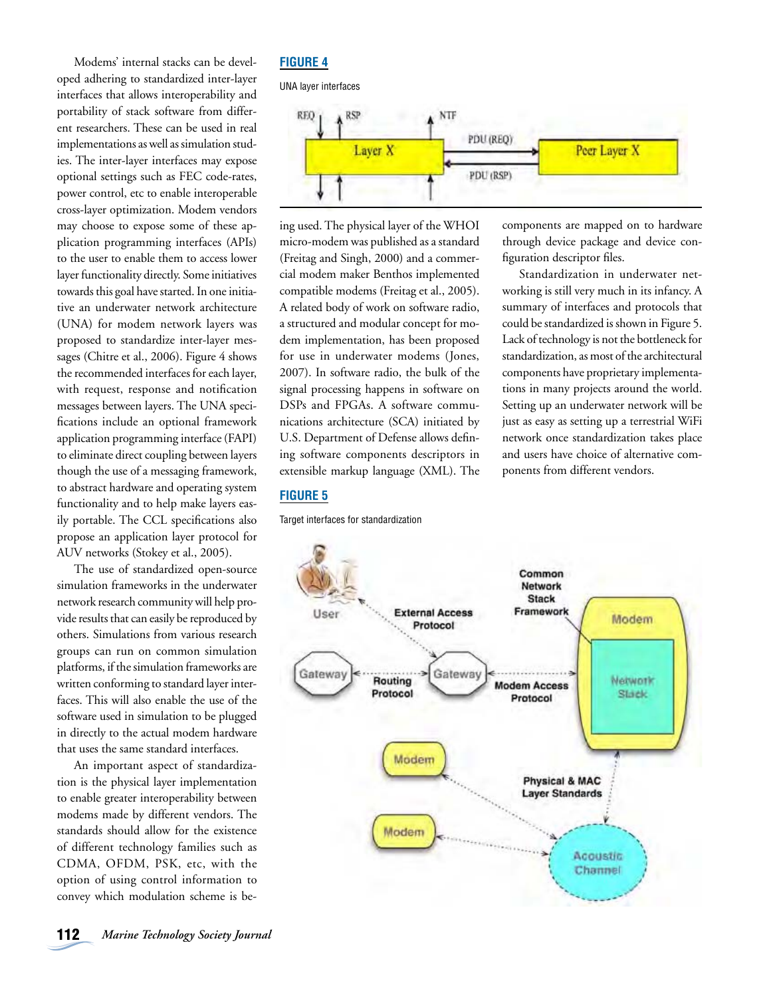Modems' internal stacks can be developed adhering to standardized inter-layer interfaces that allows interoperability and portability of stack software from different researchers. These can be used in real implementations as well as simulation studies. The inter-layer interfaces may expose optional settings such as FEC code-rates, power control, etc to enable interoperable cross-layer optimization. Modem vendors may choose to expose some of these application programming interfaces (APIs) to the user to enable them to access lower layer functionality directly. Some initiatives towards this goal have started. In one initiative an underwater network architecture (UNA) for modem network layers was proposed to standardize inter-layer messages (Chitre et al., 2006). Figure 4 shows the recommended interfaces for each layer, with request, response and notification messages between layers. The UNA specifications include an optional framework application programming interface (FAPI) to eliminate direct coupling between layers though the use of a messaging framework, to abstract hardware and operating system functionality and to help make layers easily portable. The CCL specifications also propose an application layer protocol for AUV networks (Stokey et al., 2005).

The use of standardized open-source simulation frameworks in the underwater network research community will help provide results that can easily be reproduced by others. Simulations from various research groups can run on common simulation platforms, if the simulation frameworks are written conforming to standard layer interfaces. This will also enable the use of the software used in simulation to be plugged in directly to the actual modem hardware that uses the same standard interfaces.

An important aspect of standardization is the physical layer implementation to enable greater interoperability between modems made by different vendors. The standards should allow for the existence of different technology families such as CDMA, OFDM, PSK, etc, with the option of using control information to convey which modulation scheme is be-

#### **FIGURE 4**

UNA layer interfaces



ing used. The physical layer of the WHOI micro-modem was published as a standard (Freitag and Singh, 2000) and a commercial modem maker Benthos implemented compatible modems (Freitag et al., 2005). A related body of work on software radio, a structured and modular concept for modem implementation, has been proposed for use in underwater modems (Jones, 2007). In software radio, the bulk of the signal processing happens in software on DSPs and FPGAs. A software communications architecture (SCA) initiated by U.S. Department of Defense allows defining software components descriptors in extensible markup language (XML). The

#### **FIGURE 5**

Target interfaces for standardization

components are mapped on to hardware through device package and device configuration descriptor files.

Standardization in underwater networking is still very much in its infancy. A summary of interfaces and protocols that could be standardized is shown in Figure 5. Lack of technology is not the bottleneck for standardization, as most of the architectural components have proprietary implementations in many projects around the world. Setting up an underwater network will be just as easy as setting up a terrestrial WiFi network once standardization takes place and users have choice of alternative components from different vendors.

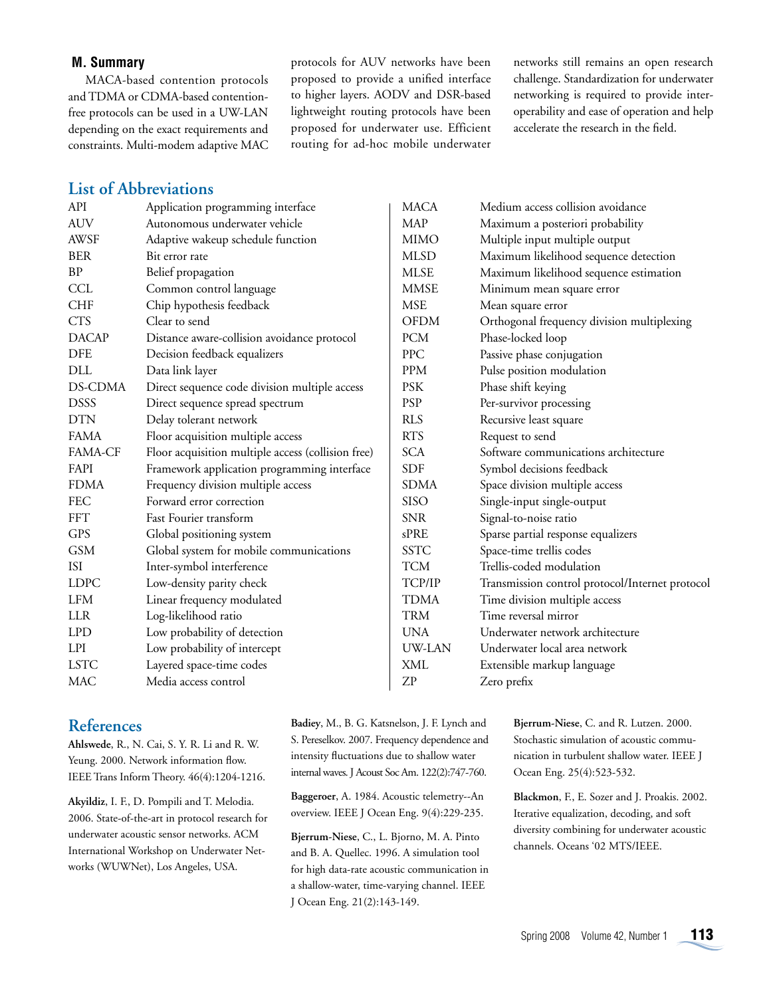#### **M. Summary**

MACA-based contention protocols and TDMA or CDMA-based contentionfree protocols can be used in a UW-LAN depending on the exact requirements and constraints. Multi-modem adaptive MAC protocols for AUV networks have been proposed to provide a unified interface to higher layers. AODV and DSR-based lightweight routing protocols have been proposed for underwater use. Efficient routing for ad-hoc mobile underwater networks still remains an open research challenge. Standardization for underwater networking is required to provide interoperability and ease of operation and help accelerate the research in the field.

# **List of Abbreviations**

| API            | Application programming interface                  |
|----------------|----------------------------------------------------|
| <b>AUV</b>     | Autonomous underwater vehicle                      |
| <b>AWSF</b>    | Adaptive wakeup schedule function                  |
| <b>BER</b>     | Bit error rate                                     |
| BP             | Belief propagation                                 |
| CCL            | Common control language                            |
| <b>CHF</b>     | Chip hypothesis feedback                           |
| <b>CTS</b>     | Clear to send                                      |
| <b>DACAP</b>   | Distance aware-collision avoidance protocol        |
| <b>DFE</b>     | Decision feedback equalizers                       |
| DLL            | Data link layer                                    |
| DS-CDMA        | Direct sequence code division multiple access      |
| <b>DSSS</b>    | Direct sequence spread spectrum                    |
| <b>DTN</b>     | Delay tolerant network                             |
| <b>FAMA</b>    | Floor acquisition multiple access                  |
| <b>FAMA-CF</b> | Floor acquisition multiple access (collision free) |
| FAPI           | Framework application programming interface        |
| <b>FDMA</b>    | Frequency division multiple access                 |
| <b>FEC</b>     | Forward error correction                           |
| <b>FFT</b>     | Fast Fourier transform                             |
| GPS            | Global positioning system                          |
| <b>GSM</b>     | Global system for mobile communications            |
| <b>ISI</b>     | Inter-symbol interference                          |
| <b>LDPC</b>    | Low-density parity check                           |
| <b>LFM</b>     | Linear frequency modulated                         |
| <b>LLR</b>     | Log-likelihood ratio                               |
| LPD            | Low probability of detection                       |
| <b>LPI</b>     | Low probability of intercept                       |
| <b>LSTC</b>    | Layered space-time codes                           |
| MAC            | Media access control                               |

| Medium access collision avoidance               |
|-------------------------------------------------|
| Maximum a posteriori probability                |
| Multiple input multiple output                  |
| Maximum likelihood sequence detection           |
| Maximum likelihood sequence estimation          |
| Minimum mean square error                       |
| Mean square error                               |
| Orthogonal frequency division multiplexing      |
| Phase-locked loop                               |
| Passive phase conjugation                       |
| Pulse position modulation                       |
| Phase shift keying                              |
| Per-survivor processing                         |
| Recursive least square                          |
| Request to send                                 |
| Software communications architecture            |
| Symbol decisions feedback                       |
| Space division multiple access                  |
| Single-input single-output                      |
| Signal-to-noise ratio                           |
| Sparse partial response equalizers              |
| Space-time trellis codes                        |
| Trellis-coded modulation                        |
| Transmission control protocol/Internet protocol |
| Time division multiple access                   |
| Time reversal mirror                            |
| Underwater network architecture                 |
| Underwater local area network                   |
| Extensible markup language                      |
| Zero prefix                                     |
|                                                 |

# **References**

**Ahlswede**, R., N. Cai, S. Y. R. Li and R. W. Yeung. 2000. Network information flow. IEEE Trans Inform Theory. 46(4):1204-1216.

**Akyildiz**, I. F., D. Pompili and T. Melodia. 2006. State-of-the-art in protocol research for underwater acoustic sensor networks. ACM International Workshop on Underwater Networks (WUWNet), Los Angeles, USA.

**Badiey**, M., B. G. Katsnelson, J. F. Lynch and S. Pereselkov. 2007. Frequency dependence and intensity fluctuations due to shallow water internal waves. J Acoust Soc Am. 122(2):747-760.

**Baggeroer**, A. 1984. Acoustic telemetry--An overview. IEEE J Ocean Eng. 9(4):229-235.

**Bjerrum-Niese**, C., L. Bjorno, M. A. Pinto and B. A. Quellec. 1996. A simulation tool for high data-rate acoustic communication in a shallow-water, time-varying channel. IEEE J Ocean Eng. 21(2):143-149.

**Bjerrum-Niese**, C. and R. Lutzen. 2000. Stochastic simulation of acoustic communication in turbulent shallow water. IEEE J Ocean Eng. 25(4):523-532.

**Blackmon**, F., E. Sozer and J. Proakis. 2002. Iterative equalization, decoding, and soft diversity combining for underwater acoustic channels. Oceans '02 MTS/IEEE.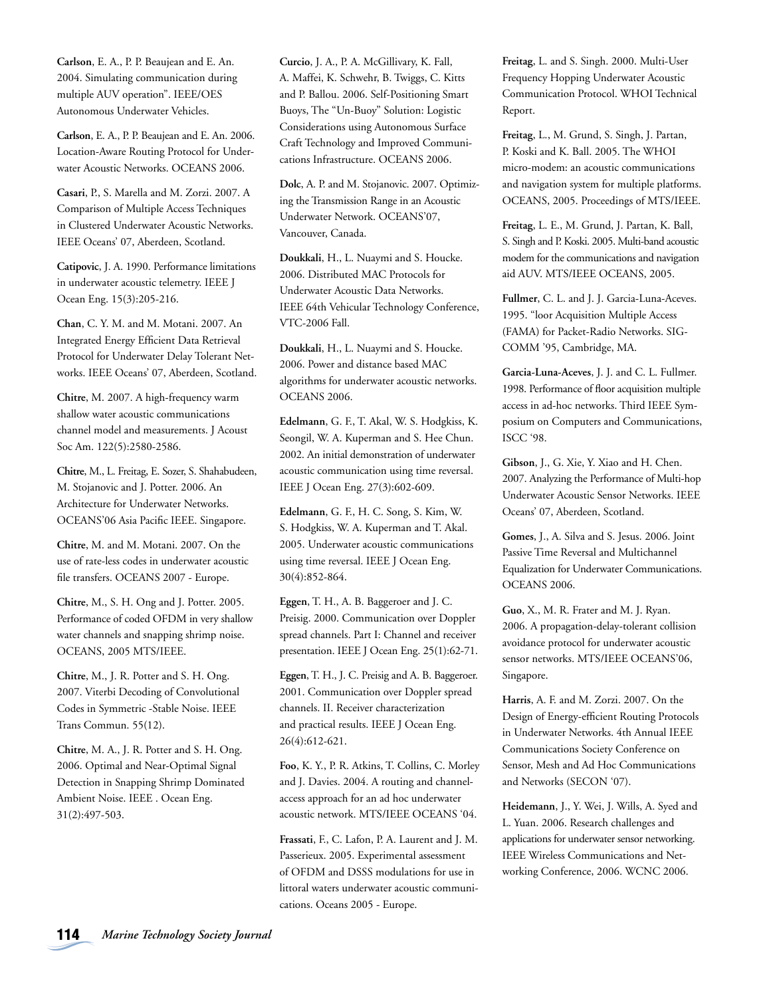**Carlson**, E. A., P. P. Beaujean and E. An. 2004. Simulating communication during multiple AUV operation". IEEE/OES Autonomous Underwater Vehicles.

**Carlson**, E. A., P. P. Beaujean and E. An. 2006. Location-Aware Routing Protocol for Underwater Acoustic Networks. OCEANS 2006.

**Casari**, P., S. Marella and M. Zorzi. 2007. A Comparison of Multiple Access Techniques in Clustered Underwater Acoustic Networks. IEEE Oceans' 07, Aberdeen, Scotland.

**Catipovic**, J. A. 1990. Performance limitations in underwater acoustic telemetry. IEEE J Ocean Eng. 15(3):205-216.

**Chan**, C. Y. M. and M. Motani. 2007. An Integrated Energy Efficient Data Retrieval Protocol for Underwater Delay Tolerant Networks. IEEE Oceans' 07, Aberdeen, Scotland.

**Chitre**, M. 2007. A high-frequency warm shallow water acoustic communications channel model and measurements. J Acoust Soc Am. 122(5):2580-2586.

**Chitre**, M., L. Freitag, E. Sozer, S. Shahabudeen, M. Stojanovic and J. Potter. 2006. An Architecture for Underwater Networks. OCEANS'06 Asia Pacific IEEE. Singapore.

**Chitre**, M. and M. Motani. 2007. On the use of rate-less codes in underwater acoustic file transfers. OCEANS 2007 - Europe.

**Chitre**, M., S. H. Ong and J. Potter. 2005. Performance of coded OFDM in very shallow water channels and snapping shrimp noise. OCEANS, 2005 MTS/IEEE.

**Chitre**, M., J. R. Potter and S. H. Ong. 2007. Viterbi Decoding of Convolutional Codes in Symmetric -Stable Noise. IEEE Trans Commun. 55(12).

**Chitre**, M. A., J. R. Potter and S. H. Ong. 2006. Optimal and Near-Optimal Signal Detection in Snapping Shrimp Dominated Ambient Noise. IEEE . Ocean Eng. 31(2):497-503.

**Curcio**, J. A., P. A. McGillivary, K. Fall, A. Maffei, K. Schwehr, B. Twiggs, C. Kitts and P. Ballou. 2006. Self-Positioning Smart Buoys, The "Un-Buoy" Solution: Logistic Considerations using Autonomous Surface Craft Technology and Improved Communications Infrastructure. OCEANS 2006.

**Dolc**, A. P. and M. Stojanovic. 2007. Optimizing the Transmission Range in an Acoustic Underwater Network. OCEANS'07, Vancouver, Canada.

**Doukkali**, H., L. Nuaymi and S. Houcke. 2006. Distributed MAC Protocols for Underwater Acoustic Data Networks. IEEE 64th Vehicular Technology Conference, VTC-2006 Fall.

**Doukkali**, H., L. Nuaymi and S. Houcke. 2006. Power and distance based MAC algorithms for underwater acoustic networks. OCEANS 2006.

**Edelmann**, G. F., T. Akal, W. S. Hodgkiss, K. Seongil, W. A. Kuperman and S. Hee Chun. 2002. An initial demonstration of underwater acoustic communication using time reversal. IEEE J Ocean Eng. 27(3):602-609.

**Edelmann**, G. F., H. C. Song, S. Kim, W. S. Hodgkiss, W. A. Kuperman and T. Akal. 2005. Underwater acoustic communications using time reversal. IEEE J Ocean Eng. 30(4):852-864.

**Eggen**, T. H., A. B. Baggeroer and J. C. Preisig. 2000. Communication over Doppler spread channels. Part I: Channel and receiver presentation. IEEE J Ocean Eng. 25(1):62-71.

**Eggen**, T. H., J. C. Preisig and A. B. Baggeroer. 2001. Communication over Doppler spread channels. II. Receiver characterization and practical results. IEEE J Ocean Eng. 26(4):612-621.

**Foo**, K. Y., P. R. Atkins, T. Collins, C. Morley and J. Davies. 2004. A routing and channelaccess approach for an ad hoc underwater acoustic network. MTS/IEEE OCEANS '04.

**Frassati**, F., C. Lafon, P. A. Laurent and J. M. Passerieux. 2005. Experimental assessment of OFDM and DSSS modulations for use in littoral waters underwater acoustic communications. Oceans 2005 - Europe.

**Freitag**, L. and S. Singh. 2000. Multi-User Frequency Hopping Underwater Acoustic Communication Protocol. WHOI Technical Report.

**Freitag**, L., M. Grund, S. Singh, J. Partan, P. Koski and K. Ball. 2005. The WHOI micro-modem: an acoustic communications and navigation system for multiple platforms. OCEANS, 2005. Proceedings of MTS/IEEE.

**Freitag**, L. E., M. Grund, J. Partan, K. Ball, S. Singh and P. Koski. 2005. Multi-band acoustic modem for the communications and navigation aid AUV. MTS/IEEE OCEANS, 2005.

**Fullmer**, C. L. and J. J. Garcia-Luna-Aceves. 1995. "loor Acquisition Multiple Access (FAMA) for Packet-Radio Networks. SIG-COMM '95, Cambridge, MA.

**Garcia-Luna-Aceves**, J. J. and C. L. Fullmer. 1998. Performance of floor acquisition multiple access in ad-hoc networks. Third IEEE Symposium on Computers and Communications, ISCC '98.

**Gibson**, J., G. Xie, Y. Xiao and H. Chen. 2007. Analyzing the Performance of Multi-hop Underwater Acoustic Sensor Networks. IEEE Oceans' 07, Aberdeen, Scotland.

**Gomes**, J., A. Silva and S. Jesus. 2006. Joint Passive Time Reversal and Multichannel Equalization for Underwater Communications. OCEANS 2006.

**Guo**, X., M. R. Frater and M. J. Ryan. 2006. A propagation-delay-tolerant collision avoidance protocol for underwater acoustic sensor networks. MTS/IEEE OCEANS'06, Singapore.

**Harris**, A. F. and M. Zorzi. 2007. On the Design of Energy-efficient Routing Protocols in Underwater Networks. 4th Annual IEEE Communications Society Conference on Sensor, Mesh and Ad Hoc Communications and Networks (SECON '07).

**Heidemann**, J., Y. Wei, J. Wills, A. Syed and L. Yuan. 2006. Research challenges and applications for underwater sensor networking. IEEE Wireless Communications and Networking Conference, 2006. WCNC 2006.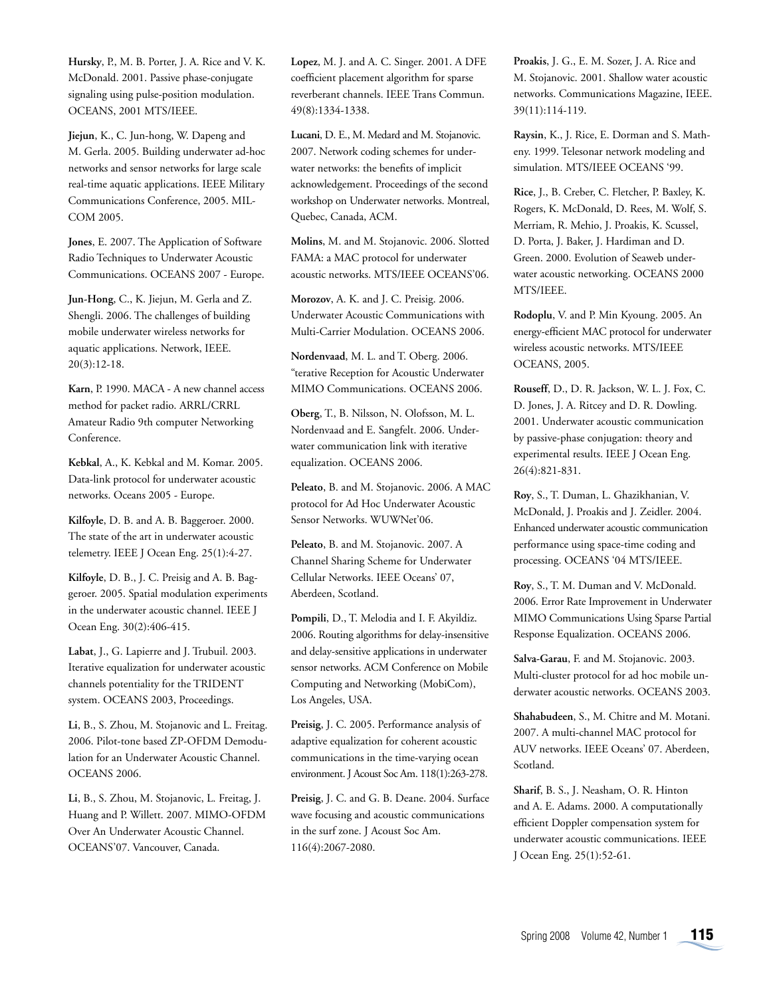**Hursky**, P., M. B. Porter, J. A. Rice and V. K. McDonald. 2001. Passive phase-conjugate signaling using pulse-position modulation. OCEANS, 2001 MTS/IEEE.

**Jiejun**, K., C. Jun-hong, W. Dapeng and M. Gerla. 2005. Building underwater ad-hoc networks and sensor networks for large scale real-time aquatic applications. IEEE Military Communications Conference, 2005. MIL-COM 2005.

**Jones**, E. 2007. The Application of Software Radio Techniques to Underwater Acoustic Communications. OCEANS 2007 - Europe.

**Jun-Hong**, C., K. Jiejun, M. Gerla and Z. Shengli. 2006. The challenges of building mobile underwater wireless networks for aquatic applications. Network, IEEE. 20(3):12-18.

**Karn**, P. 1990. MACA - A new channel access method for packet radio. ARRL/CRRL Amateur Radio 9th computer Networking Conference.

**Kebkal**, A., K. Kebkal and M. Komar. 2005. Data-link protocol for underwater acoustic networks. Oceans 2005 - Europe.

**Kilfoyle**, D. B. and A. B. Baggeroer. 2000. The state of the art in underwater acoustic telemetry. IEEE J Ocean Eng. 25(1):4-27.

**Kilfoyle**, D. B., J. C. Preisig and A. B. Baggeroer. 2005. Spatial modulation experiments in the underwater acoustic channel. IEEE J Ocean Eng. 30(2):406-415.

**Labat**, J., G. Lapierre and J. Trubuil. 2003. Iterative equalization for underwater acoustic channels potentiality for the TRIDENT system. OCEANS 2003, Proceedings.

**Li**, B., S. Zhou, M. Stojanovic and L. Freitag. 2006. Pilot-tone based ZP-OFDM Demodulation for an Underwater Acoustic Channel. OCEANS 2006.

**Li**, B., S. Zhou, M. Stojanovic, L. Freitag, J. Huang and P. Willett. 2007. MIMO-OFDM Over An Underwater Acoustic Channel. OCEANS'07. Vancouver, Canada.

**Lopez**, M. J. and A. C. Singer. 2001. A DFE coefficient placement algorithm for sparse reverberant channels. IEEE Trans Commun. 49(8):1334-1338.

**Lucani**, D. E., M. Medard and M. Stojanovic. 2007. Network coding schemes for underwater networks: the benefits of implicit acknowledgement. Proceedings of the second workshop on Underwater networks. Montreal, Quebec, Canada, ACM.

**Molins**, M. and M. Stojanovic. 2006. Slotted FAMA: a MAC protocol for underwater acoustic networks. MTS/IEEE OCEANS'06.

**Morozov**, A. K. and J. C. Preisig. 2006. Underwater Acoustic Communications with Multi-Carrier Modulation. OCEANS 2006.

**Nordenvaad**, M. L. and T. Oberg. 2006. "terative Reception for Acoustic Underwater MIMO Communications. OCEANS 2006.

**Oberg**, T., B. Nilsson, N. Olofsson, M. L. Nordenvaad and E. Sangfelt. 2006. Underwater communication link with iterative equalization. OCEANS 2006.

**Peleato**, B. and M. Stojanovic. 2006. A MAC protocol for Ad Hoc Underwater Acoustic Sensor Networks. WUWNet'06.

**Peleato**, B. and M. Stojanovic. 2007. A Channel Sharing Scheme for Underwater Cellular Networks. IEEE Oceans' 07, Aberdeen, Scotland.

**Pompili**, D., T. Melodia and I. F. Akyildiz. 2006. Routing algorithms for delay-insensitive and delay-sensitive applications in underwater sensor networks. ACM Conference on Mobile Computing and Networking (MobiCom), Los Angeles, USA.

**Preisig**, J. C. 2005. Performance analysis of adaptive equalization for coherent acoustic communications in the time-varying ocean environment. J Acoust Soc Am. 118(1):263-278.

**Preisig**, J. C. and G. B. Deane. 2004. Surface wave focusing and acoustic communications in the surf zone. J Acoust Soc Am. 116(4):2067-2080.

**Proakis**, J. G., E. M. Sozer, J. A. Rice and M. Stojanovic. 2001. Shallow water acoustic networks. Communications Magazine, IEEE. 39(11):114-119.

**Raysin**, K., J. Rice, E. Dorman and S. Matheny. 1999. Telesonar network modeling and simulation. MTS/IEEE OCEANS '99.

**Rice**, J., B. Creber, C. Fletcher, P. Baxley, K. Rogers, K. McDonald, D. Rees, M. Wolf, S. Merriam, R. Mehio, J. Proakis, K. Scussel, D. Porta, J. Baker, J. Hardiman and D. Green. 2000. Evolution of Seaweb underwater acoustic networking. OCEANS 2000 MTS/IEEE.

**Rodoplu**, V. and P. Min Kyoung. 2005. An energy-efficient MAC protocol for underwater wireless acoustic networks. MTS/IEEE OCEANS, 2005.

**Rouseff**, D., D. R. Jackson, W. L. J. Fox, C. D. Jones, J. A. Ritcey and D. R. Dowling. 2001. Underwater acoustic communication by passive-phase conjugation: theory and experimental results. IEEE J Ocean Eng. 26(4):821-831.

**Roy**, S., T. Duman, L. Ghazikhanian, V. McDonald, J. Proakis and J. Zeidler. 2004. Enhanced underwater acoustic communication performance using space-time coding and processing. OCEANS '04 MTS/IEEE.

**Roy**, S., T. M. Duman and V. McDonald. 2006. Error Rate Improvement in Underwater MIMO Communications Using Sparse Partial Response Equalization. OCEANS 2006.

**Salva-Garau**, F. and M. Stojanovic. 2003. Multi-cluster protocol for ad hoc mobile underwater acoustic networks. OCEANS 2003.

**Shahabudeen**, S., M. Chitre and M. Motani. 2007. A multi-channel MAC protocol for AUV networks. IEEE Oceans' 07. Aberdeen, Scotland.

**Sharif**, B. S., J. Neasham, O. R. Hinton and A. E. Adams. 2000. A computationally efficient Doppler compensation system for underwater acoustic communications. IEEE J Ocean Eng. 25(1):52-61.